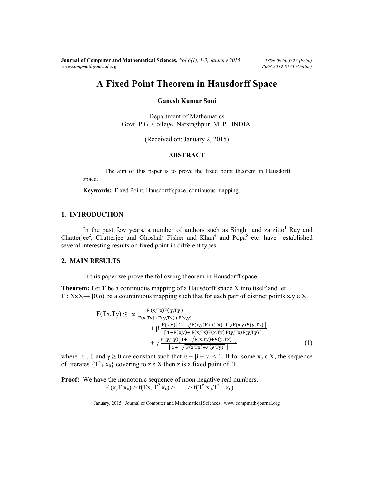# **A Fixed Point Theorem in Hausdorff Space**

## **Ganesh Kumar Soni**

Department of Mathematics Govt. P.G. College, Narsinghpur, M. P., INDIA.

(Received on: January 2, 2015)

### **ABSTRACT**

 The aim of this paper is to prove the fixed point theorem in Hausdorff space.

**Keywords:** Fixed Point, Hausdorff space, continuous mapping.

### **1. INTRODUCTION**

In the past few years, a number of authors such as Singh and zarzitto<sup>1</sup> Ray and Chatterjee<sup>2</sup>, Chatterjee and Ghoshal<sup>3</sup> Fisher and Khan<sup>4</sup> and Popa<sup>5</sup> etc. have established several interesting results on fixed point in different types.

#### **2. MAIN RESULTS**

In this paper we prove the following theorem in Hausdorff space.

**Theorem:** Let T be a continuous mapping of a Hausdorff space X into itself and let  $F: X \times X \rightarrow [0,\alpha)$  be a countinuous mapping such that for each pair of distinct points  $x,y \in X$ .

$$
F(Tx,Ty) \leq \alpha \frac{F(x,Tx)F(y,Ty)}{F(x,Ty)+F(y,Tx)+F(x,y)} + \beta \frac{F(x,y)[1+\sqrt{F(x,y)F(x,Tx)}+\sqrt{F(x,y)F(y,Tx)}]}{[1+F(x,y)+F(x,Tx)F(x,Ty)F(y,Tx)F(y,Ty)}] + \gamma \frac{F(y,Ty)[1+\sqrt{F(x,Ty)+F(y,Tx)}]}{[1+\sqrt{F(x,Tx)+F(y,Ty)}]}
$$
(1)

where  $\alpha$ ,  $\beta$  and  $\gamma \ge 0$  are constant such that  $\alpha + \beta + \gamma < 1$ . If for some  $x_0 \in X$ , the sequence of iterates  $\{T^n_k x_0\}$  covering to z  $\epsilon$  X then z is a fixed point of T.

**Proof:** We have the monotonic sequence of noon negative real numbers.  $F(x,T x_0) > f(Tx, \hat{T}^2 x_0) >$ ------>  $f(T^n x_0, T^{n+1} x_0)$  -----------

January, 2015 **|** Journal of Computer and Mathematical Sciences **|** www.compmath-journal.org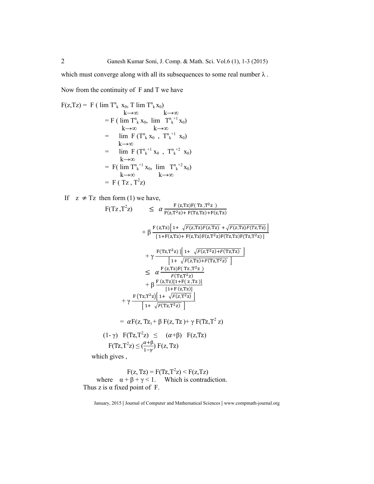which must converge along with all its subsequences to some real number  $\lambda$ .

Now from the continuity of F and T we have

$$
F(z,Tz) = F (\lim T_k^k x_0, T \lim T_k^k x_0)
$$
  
\n
$$
= F (\lim T_k^k x_0, \lim T_k^{n+1} x_0)
$$
  
\n
$$
= \lim F (T_k^k x_0, T_k^{n+1} x_0)
$$
  
\n
$$
= \lim F (T_k^k x_0, T_k^{n+1} x_0)
$$
  
\n
$$
= \lim F (T_k^{n+1} x_0, T_k^{n+2} x_0)
$$
  
\n
$$
= F (\lim T_k^{n+1} x_0, \lim T_k^{n+2} x_0)
$$
  
\n
$$
= F (\lim T_k^{n+1} x_0, \lim T_k^{n+2} x_0)
$$
  
\n
$$
= F (Tz, T^2z)
$$

If  $z \neq Tz$  then form (1) we have,

$$
F(Tz, T^2z) \leq \alpha \frac{F(z, Tz)F(Tz, T^2z)}{F(z, T^2z) + F(Tz, Tz) + F(z, Tz)}
$$
  
+  $\beta \frac{F(z, Tz)[1 + \sqrt{F(z, Tz)F(z, Tz)} + \sqrt{F(z, Tz)F(Tz, Tz)}]}{[1 + F(z, Tz) + F(z, Tz)F(Tz, Tz)F(Tz, Tz)]}$   
+  $\gamma \frac{F(Tz, T^2z)[1 + \sqrt{F(z, Tz)F(z, Tz)F(Tz, Tz)}]}{[1 + \sqrt{F(z, Tz) + F(Tz, Tz)}]}$   
 $\leq \alpha \frac{F(z, Tz)F(Tz, T^2z)}{[1 + \sqrt{F(z, Tz) + F(Tz, Tz)}]}$   
+  $\beta \frac{F(z, Tz)[1 + F(z, Tz)]}{[1 + F(z, Tz)]}$   
+  $\gamma \frac{F(Tz, T^2z)[1 + \sqrt{F(z, T^2z)}]}{[1 + \sqrt{F(Tz, T^2z)}]}$   
=  $\alpha F(z, Tz) + \beta F(z, Tz) + \gamma F(Tz, T^2z)$   
(1-  $\gamma$ )  $F(Tz, T^2z) \leq (\alpha + \beta) F(z, Tz)$   
 $F(Tz, T^2z) \leq (\alpha + \beta) F(z, Tz)$   
which gives,

 $F(z, Tz) = F(Tz, T<sup>2</sup>z) < F(z, Tz)$ where  $\alpha + \beta + \gamma < 1$ . Which is contradiction. Thus z is  $\alpha$  fixed point of F.

January, 2015 **|** Journal of Computer and Mathematical Sciences **|** www.compmath-journal.org